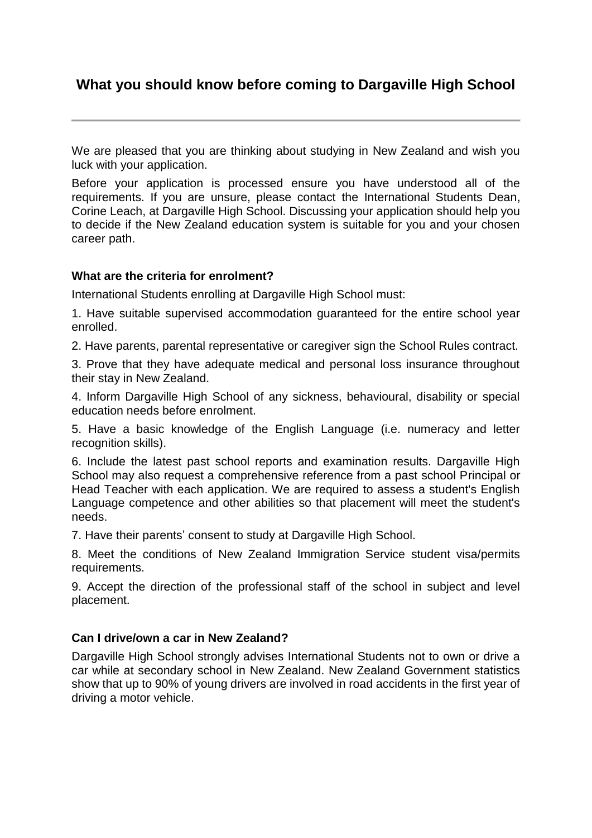# **What you should know before coming to Dargaville High School**

We are pleased that you are thinking about studying in New Zealand and wish you luck with your application.

Before your application is processed ensure you have understood all of the requirements. If you are unsure, please contact the International Students Dean, Corine Leach, at Dargaville High School. Discussing your application should help you to decide if the New Zealand education system is suitable for you and your chosen career path.

# **What are the criteria for enrolment?**

International Students enrolling at Dargaville High School must:

1. Have suitable supervised accommodation guaranteed for the entire school year enrolled.

2. Have parents, parental representative or caregiver sign the School Rules contract.

3. Prove that they have adequate medical and personal loss insurance throughout their stay in New Zealand.

4. Inform Dargaville High School of any sickness, behavioural, disability or special education needs before enrolment.

5. Have a basic knowledge of the English Language (i.e. numeracy and letter recognition skills).

6. Include the latest past school reports and examination results. Dargaville High School may also request a comprehensive reference from a past school Principal or Head Teacher with each application. We are required to assess a student's English Language competence and other abilities so that placement will meet the student's needs.

7. Have their parents' consent to study at Dargaville High School.

8. Meet the conditions of New Zealand Immigration Service student visa/permits requirements.

9. Accept the direction of the professional staff of the school in subject and level placement.

# **Can I drive/own a car in New Zealand?**

Dargaville High School strongly advises International Students not to own or drive a car while at secondary school in New Zealand. New Zealand Government statistics show that up to 90% of young drivers are involved in road accidents in the first year of driving a motor vehicle.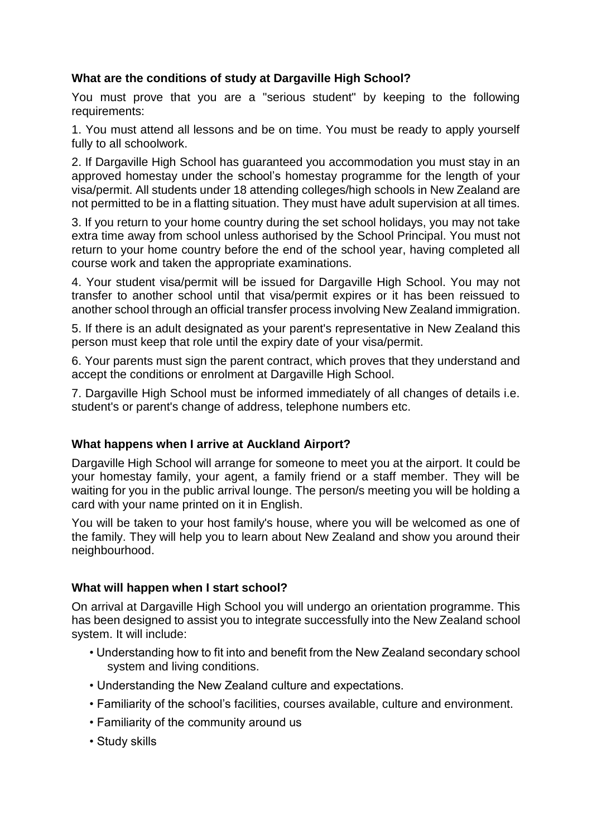# **What are the conditions of study at Dargaville High School?**

You must prove that you are a "serious student" by keeping to the following requirements:

1. You must attend all lessons and be on time. You must be ready to apply yourself fully to all schoolwork.

2. If Dargaville High School has guaranteed you accommodation you must stay in an approved homestay under the school's homestay programme for the length of your visa/permit. All students under 18 attending colleges/high schools in New Zealand are not permitted to be in a flatting situation. They must have adult supervision at all times.

3. If you return to your home country during the set school holidays, you may not take extra time away from school unless authorised by the School Principal. You must not return to your home country before the end of the school year, having completed all course work and taken the appropriate examinations.

4. Your student visa/permit will be issued for Dargaville High School. You may not transfer to another school until that visa/permit expires or it has been reissued to another school through an official transfer process involving New Zealand immigration.

5. If there is an adult designated as your parent's representative in New Zealand this person must keep that role until the expiry date of your visa/permit.

6. Your parents must sign the parent contract, which proves that they understand and accept the conditions or enrolment at Dargaville High School.

7. Dargaville High School must be informed immediately of all changes of details i.e. student's or parent's change of address, telephone numbers etc.

# **What happens when I arrive at Auckland Airport?**

Dargaville High School will arrange for someone to meet you at the airport. It could be your homestay family, your agent, a family friend or a staff member. They will be waiting for you in the public arrival lounge. The person/s meeting you will be holding a card with your name printed on it in English.

You will be taken to your host family's house, where you will be welcomed as one of the family. They will help you to learn about New Zealand and show you around their neighbourhood.

# **What will happen when I start school?**

On arrival at Dargaville High School you will undergo an orientation programme. This has been designed to assist you to integrate successfully into the New Zealand school system. It will include:

- Understanding how to fit into and benefit from the New Zealand secondary school system and living conditions.
- Understanding the New Zealand culture and expectations.
- Familiarity of the school's facilities, courses available, culture and environment.
- Familiarity of the community around us
- Study skills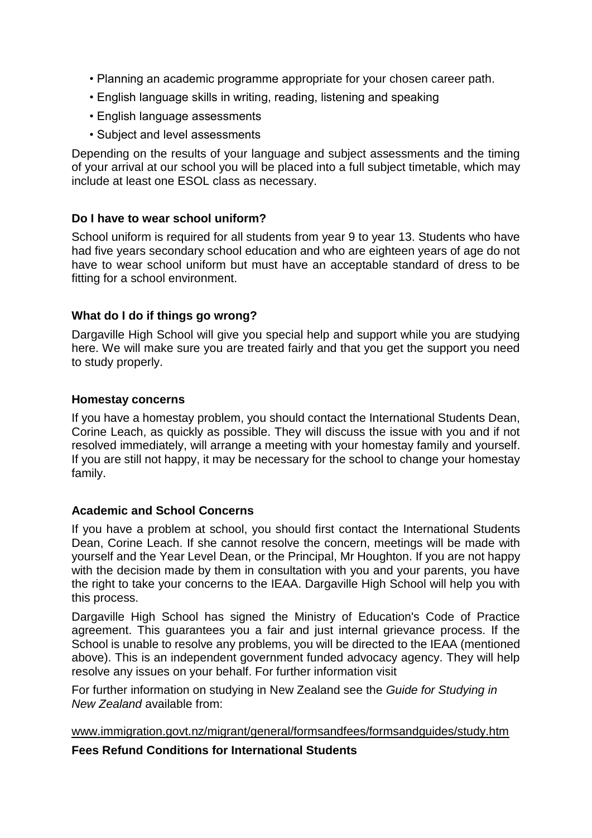- Planning an academic programme appropriate for your chosen career path.
- English language skills in writing, reading, listening and speaking
- English language assessments
- Subject and level assessments

Depending on the results of your language and subject assessments and the timing of your arrival at our school you will be placed into a full subject timetable, which may include at least one ESOL class as necessary.

# **Do I have to wear school uniform?**

School uniform is required for all students from year 9 to year 13. Students who have had five years secondary school education and who are eighteen years of age do not have to wear school uniform but must have an acceptable standard of dress to be fitting for a school environment.

# **What do I do if things go wrong?**

Dargaville High School will give you special help and support while you are studying here. We will make sure you are treated fairly and that you get the support you need to study properly.

#### **Homestay concerns**

If you have a homestay problem, you should contact the International Students Dean, Corine Leach, as quickly as possible. They will discuss the issue with you and if not resolved immediately, will arrange a meeting with your homestay family and yourself. If you are still not happy, it may be necessary for the school to change your homestay family.

# **Academic and School Concerns**

If you have a problem at school, you should first contact the International Students Dean, Corine Leach. If she cannot resolve the concern, meetings will be made with yourself and the Year Level Dean, or the Principal, Mr Houghton. If you are not happy with the decision made by them in consultation with you and your parents, you have the right to take your concerns to the IEAA. Dargaville High School will help you with this process.

Dargaville High School has signed the Ministry of Education's Code of Practice agreement. This guarantees you a fair and just internal grievance process. If the School is unable to resolve any problems, you will be directed to the IEAA (mentioned above). This is an independent government funded advocacy agency. They will help resolve any issues on your behalf. For further information visit

For further information on studying in New Zealand see the *Guide for Studying in New Zealand* available from:

www.immigration.govt.nz/migrant/general/formsandfees/formsandguides/study.htm

**Fees Refund Conditions for International Students**